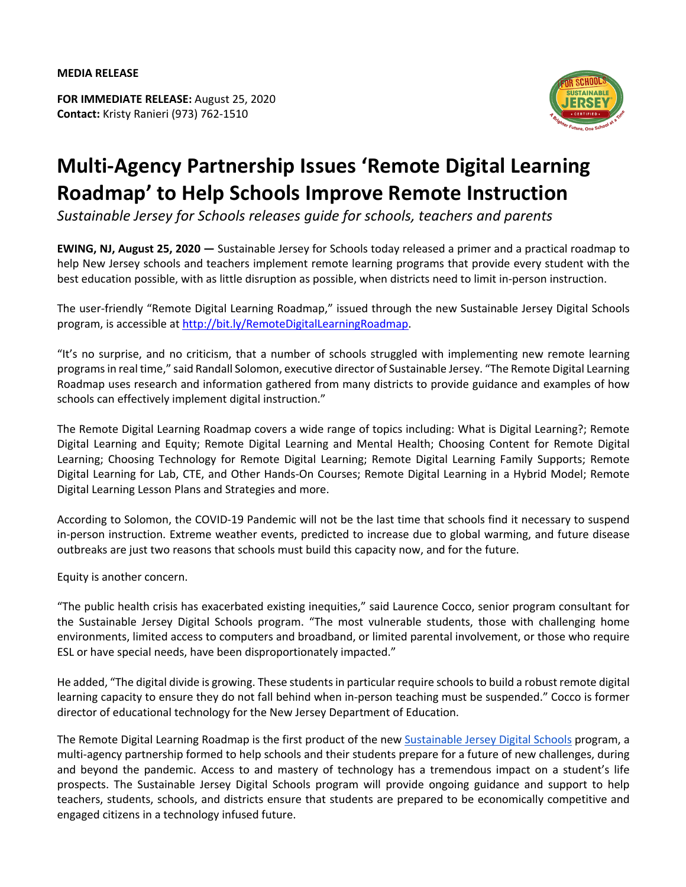**FOR IMMEDIATE RELEASE:** August 25, 2020 **Contact:** Kristy Ranieri (973) 762-1510



## **Multi-Agency Partnership Issues 'Remote Digital Learning Roadmap' to Help Schools Improve Remote Instruction**

*Sustainable Jersey for Schools releases guide for schools, teachers and parents*

**EWING, NJ, August 25, 2020 —** Sustainable Jersey for Schools today released a primer and a practical roadmap to help New Jersey schools and teachers implement remote learning programs that provide every student with the best education possible, with as little disruption as possible, when districts need to limit in-person instruction.

The user-friendly "Remote Digital Learning Roadmap," issued through the new Sustainable Jersey Digital Schools program, is accessible at http://bit.ly/RemoteDigitalLearningRoadmap.

"It's no surprise, and no criticism, that a number of schools struggled with implementing new remote learning programs in real time," said Randall Solomon, executive director of Sustainable Jersey. "The Remote Digital Learning Roadmap uses research and information gathered from many districts to provide guidance and examples of how schools can effectively implement digital instruction."

The Remote Digital Learning Roadmap covers a wide range of topics including: What is Digital Learning?; Remote Digital Learning and Equity; Remote Digital Learning and Mental Health; Choosing Content for Remote Digital Learning; Choosing Technology for Remote Digital Learning; Remote Digital Learning Family Supports; Remote Digital Learning for Lab, CTE, and Other Hands-On Courses; Remote Digital Learning in a Hybrid Model; Remote Digital Learning Lesson Plans and Strategies and more.

According to Solomon, the COVID-19 Pandemic will not be the last time that schools find it necessary to suspend in-person instruction. Extreme weather events, predicted to increase due to global warming, and future disease outbreaks are just two reasons that schools must build this capacity now, and for the future.

Equity is another concern.

"The public health crisis has exacerbated existing inequities," said Laurence Cocco, senior program consultant for the Sustainable Jersey Digital Schools program. "The most vulnerable students, those with challenging home environments, limited access to computers and broadband, or limited parental involvement, or those who require ESL or have special needs, have been disproportionately impacted."

He added, "The digital divide is growing. These students in particular require schools to build a robust remote digital learning capacity to ensure they do not fall behind when in-person teaching must be suspended." Cocco is former director of educational technology for the New Jersey Department of Education.

The Remote Digital Learning Roadmap is the first product of the new Sustainable Jersey Digital Schools program, a multi-agency partnership formed to help schools and their students prepare for a future of new challenges, during and beyond the pandemic. Access to and mastery of technology has a tremendous impact on a student's life prospects. The Sustainable Jersey Digital Schools program will provide ongoing guidance and support to help teachers, students, schools, and districts ensure that students are prepared to be economically competitive and engaged citizens in a technology infused future.